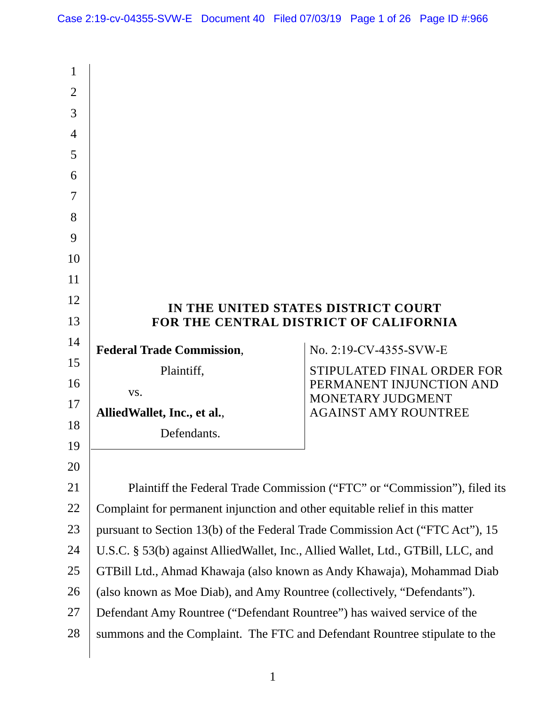| 1              |                                                                                  |                                               |  |
|----------------|----------------------------------------------------------------------------------|-----------------------------------------------|--|
| $\overline{2}$ |                                                                                  |                                               |  |
| 3              |                                                                                  |                                               |  |
| $\overline{4}$ |                                                                                  |                                               |  |
| 5              |                                                                                  |                                               |  |
| 6              |                                                                                  |                                               |  |
| 7              |                                                                                  |                                               |  |
| 8              |                                                                                  |                                               |  |
| 9              |                                                                                  |                                               |  |
| 10             |                                                                                  |                                               |  |
| 11             |                                                                                  |                                               |  |
| 12             | IN THE UNITED STATES DISTRICT COURT                                              |                                               |  |
| 13             | FOR THE CENTRAL DISTRICT OF CALIFORNIA                                           |                                               |  |
| 14             | <b>Federal Trade Commission,</b>                                                 | No. 2:19-CV-4355-SVW-E                        |  |
| 15             | Plaintiff,                                                                       | STIPULATED FINAL ORDER FOR                    |  |
| 16             | VS.                                                                              | PERMANENT INJUNCTION AND<br>MONETARY JUDGMENT |  |
| 17             | Allied Wallet, Inc., et al.,                                                     | <b>AGAINST AMY ROUNTREE</b>                   |  |
| 18             | Defendants.                                                                      |                                               |  |
| 19             |                                                                                  |                                               |  |
| 20             |                                                                                  |                                               |  |
| 21             | Plaintiff the Federal Trade Commission ("FTC" or "Commission"), filed its        |                                               |  |
| 22             | Complaint for permanent injunction and other equitable relief in this matter     |                                               |  |
| 23             | pursuant to Section 13(b) of the Federal Trade Commission Act ("FTC Act"), 15    |                                               |  |
| 24             | U.S.C. § 53(b) against AlliedWallet, Inc., Allied Wallet, Ltd., GTBill, LLC, and |                                               |  |
| 25             | GTBill Ltd., Ahmad Khawaja (also known as Andy Khawaja), Mohammad Diab           |                                               |  |
| 26             | (also known as Moe Diab), and Amy Rountree (collectively, "Defendants").         |                                               |  |
| 27             | Defendant Amy Rountree ("Defendant Rountree") has waived service of the          |                                               |  |
| 28             | summons and the Complaint. The FTC and Defendant Rountree stipulate to the       |                                               |  |
|                |                                                                                  |                                               |  |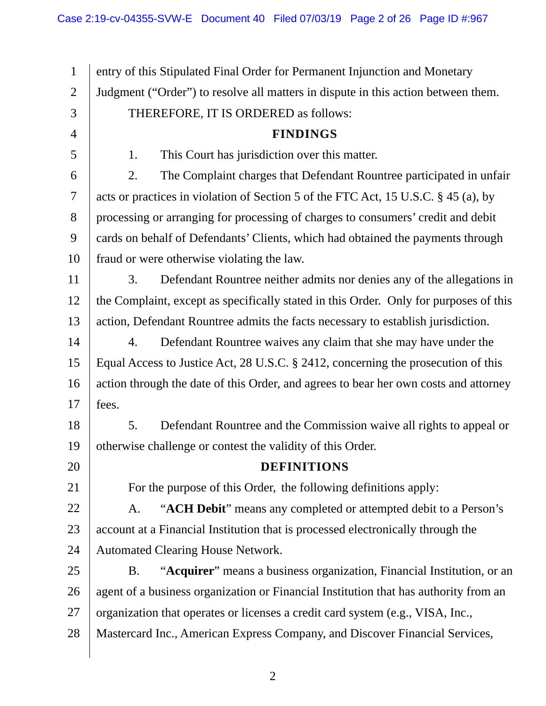fraud or were otherwise violating the law. 1 2 3 4 5 6 7 8 9 10 11 12 13 14 15 16 17 18 19 20 21 22 23 24 25 26 27 28 entry of this Stipulated Final Order for Permanent Injunction and Monetary Judgment ("Order") to resolve all matters in dispute in this action between them. THEREFORE, IT IS ORDERED as follows: **FINDINGS**  1. This Court has jurisdiction over this matter. 2. The Complaint charges that Defendant Rountree participated in unfair acts or practices in violation of Section 5 of the FTC Act, 15 U.S.C. § 45 (a), by processing or arranging for processing of charges to consumers' credit and debit cards on behalf of Defendants' Clients, which had obtained the payments through 3. Defendant Rountree neither admits nor denies any of the allegations in the Complaint, except as specifically stated in this Order. Only for purposes of this action, Defendant Rountree admits the facts necessary to establish jurisdiction. 4. Defendant Rountree waives any claim that she may have under the Equal Access to Justice Act, 28 U.S.C. § 2412, concerning the prosecution of this action through the date of this Order, and agrees to bear her own costs and attorney fees. 5. Defendant Rountree and the Commission waive all rights to appeal or otherwise challenge or contest the validity of this Order. **DEFINITIONS**  For the purpose of this Order, the following definitions apply: A. "**ACH Debit**" means any completed or attempted debit to a Person's account at a Financial Institution that is processed electronically through the Automated Clearing House Network. B. "**Acquirer**" means a business organization, Financial Institution, or an agent of a business organization or Financial Institution that has authority from an organization that operates or licenses a credit card system (e.g., VISA, Inc., Mastercard Inc., American Express Company, and Discover Financial Services,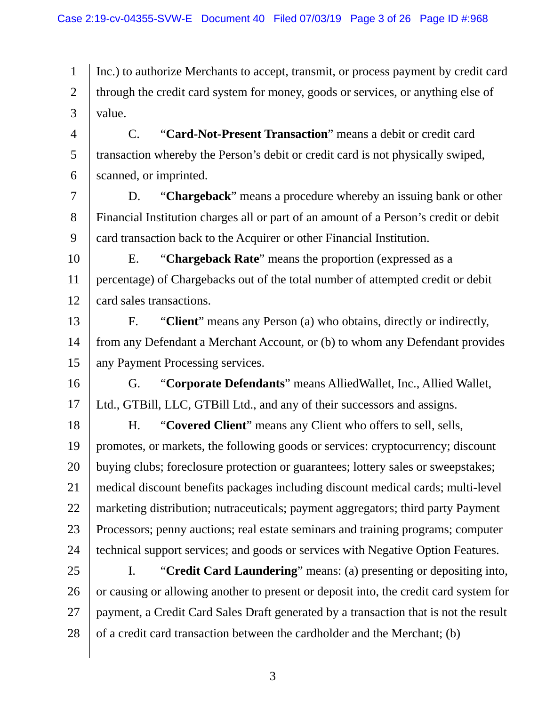1 2 3 Inc.) to authorize Merchants to accept, transmit, or process payment by credit card through the credit card system for money, goods or services, or anything else of value.

4 5 6 C. "**Card-Not-Present Transaction**" means a debit or credit card transaction whereby the Person's debit or credit card is not physically swiped, scanned, or imprinted.

7 8 9 D. "**Chargeback**" means a procedure whereby an issuing bank or other Financial Institution charges all or part of an amount of a Person's credit or debit card transaction back to the Acquirer or other Financial Institution.

10 11 12 E. "**Chargeback Rate**" means the proportion (expressed as a percentage) of Chargebacks out of the total number of attempted credit or debit card sales transactions.

13 14 15 F. "**Client**" means any Person (a) who obtains, directly or indirectly, from any Defendant a Merchant Account, or (b) to whom any Defendant provides any Payment Processing services.

16 17 G. "**Corporate Defendants**" means AlliedWallet, Inc., Allied Wallet, Ltd., GTBill, LLC, GTBill Ltd., and any of their successors and assigns.

18 19 20 21 22 23 24 H. "**Covered Client**" means any Client who offers to sell, sells, promotes, or markets, the following goods or services: cryptocurrency; discount buying clubs; foreclosure protection or guarantees; lottery sales or sweepstakes; medical discount benefits packages including discount medical cards; multi-level marketing distribution; nutraceuticals; payment aggregators; third party Payment Processors; penny auctions; real estate seminars and training programs; computer technical support services; and goods or services with Negative Option Features.

25 26 27 28 I. "**Credit Card Laundering**" means: (a) presenting or depositing into, or causing or allowing another to present or deposit into, the credit card system for payment, a Credit Card Sales Draft generated by a transaction that is not the result of a credit card transaction between the cardholder and the Merchant; (b)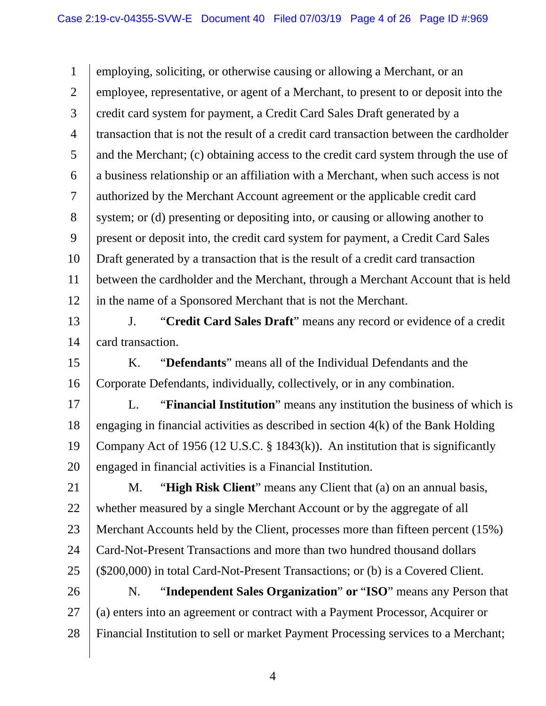1 2 3 4 5 6 7 8 9 10 11 12 13 14 15 16 17 18 19 20 21 22 23 24 25 26 27 28 employing, soliciting, or otherwise causing or allowing a Merchant, or an employee, representative, or agent of a Merchant, to present to or deposit into the credit card system for payment, a Credit Card Sales Draft generated by a transaction that is not the result of a credit card transaction between the cardholder and the Merchant; (c) obtaining access to the credit card system through the use of a business relationship or an affiliation with a Merchant, when such access is not authorized by the Merchant Account agreement or the applicable credit card system; or (d) presenting or depositing into, or causing or allowing another to present or deposit into, the credit card system for payment, a Credit Card Sales Draft generated by a transaction that is the result of a credit card transaction between the cardholder and the Merchant, through a Merchant Account that is held in the name of a Sponsored Merchant that is not the Merchant. J. "**Credit Card Sales Draft**" means any record or evidence of a credit card transaction. K. "**Defendants**" means all of the Individual Defendants and the Corporate Defendants, individually, collectively, or in any combination. L. "**Financial Institution**" means any institution the business of which is engaging in financial activities as described in section 4(k) of the Bank Holding Company Act of 1956 (12 U.S.C.  $\S$  1843(k)). An institution that is significantly engaged in financial activities is a Financial Institution. M. "**High Risk Client**" means any Client that (a) on an annual basis, whether measured by a single Merchant Account or by the aggregate of all Merchant Accounts held by the Client, processes more than fifteen percent (15%) Card-Not-Present Transactions and more than two hundred thousand dollars (\$200,000) in total Card-Not-Present Transactions; or (b) is a Covered Client. N. "**Independent Sales Organization**" **or** "**ISO**" means any Person that (a) enters into an agreement or contract with a Payment Processor, Acquirer or Financial Institution to sell or market Payment Processing services to a Merchant;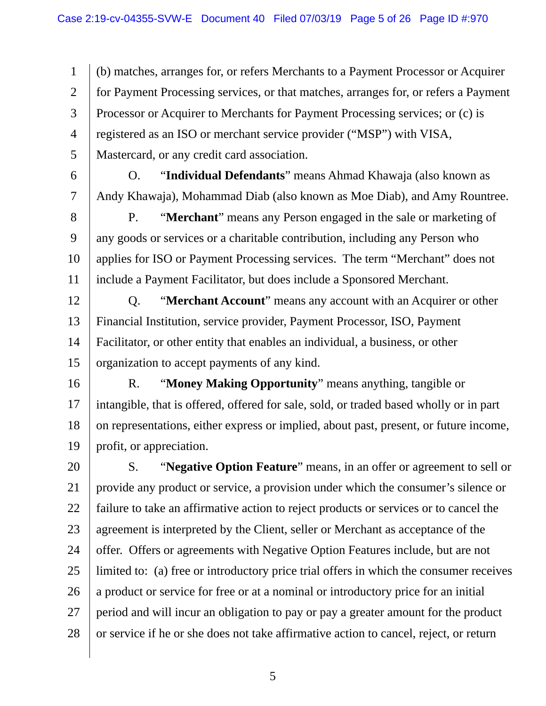1 2 3 4 5 (b) matches, arranges for, or refers Merchants to a Payment Processor or Acquirer for Payment Processing services, or that matches, arranges for, or refers a Payment Processor or Acquirer to Merchants for Payment Processing services; or (c) is registered as an ISO or merchant service provider ("MSP") with VISA, Mastercard, or any credit card association.

6

7

O. "**Individual Defendants**" means Ahmad Khawaja (also known as Andy Khawaja), Mohammad Diab (also known as Moe Diab), and Amy Rountree.

8 9 10 11 P. "**Merchant**" means any Person engaged in the sale or marketing of any goods or services or a charitable contribution, including any Person who applies for ISO or Payment Processing services. The term "Merchant" does not include a Payment Facilitator, but does include a Sponsored Merchant.

12 13 14 15 Q. "**Merchant Account**" means any account with an Acquirer or other Financial Institution, service provider, Payment Processor, ISO, Payment Facilitator, or other entity that enables an individual, a business, or other organization to accept payments of any kind.

16 17 18 19 R. "**Money Making Opportunity**" means anything, tangible or intangible, that is offered, offered for sale, sold, or traded based wholly or in part on representations, either express or implied, about past, present, or future income, profit, or appreciation.

20 21 22 23 24 25 26 27 28 S. "**Negative Option Feature**" means, in an offer or agreement to sell or provide any product or service, a provision under which the consumer's silence or failure to take an affirmative action to reject products or services or to cancel the agreement is interpreted by the Client, seller or Merchant as acceptance of the offer. Offers or agreements with Negative Option Features include, but are not limited to: (a) free or introductory price trial offers in which the consumer receives a product or service for free or at a nominal or introductory price for an initial period and will incur an obligation to pay or pay a greater amount for the product or service if he or she does not take affirmative action to cancel, reject, or return

 $\sim$  5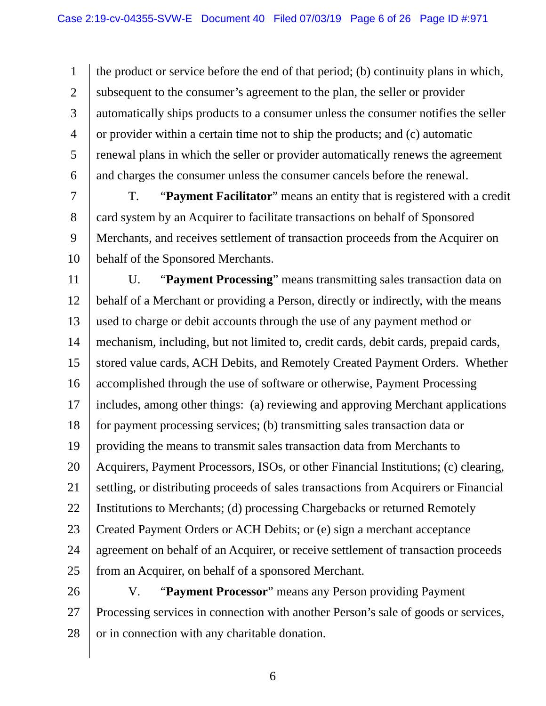1 2 3 4 5 6 the product or service before the end of that period; (b) continuity plans in which, subsequent to the consumer's agreement to the plan, the seller or provider automatically ships products to a consumer unless the consumer notifies the seller or provider within a certain time not to ship the products; and (c) automatic renewal plans in which the seller or provider automatically renews the agreement and charges the consumer unless the consumer cancels before the renewal.

7 8 9 10 T. "**Payment Facilitator**" means an entity that is registered with a credit card system by an Acquirer to facilitate transactions on behalf of Sponsored Merchants, and receives settlement of transaction proceeds from the Acquirer on behalf of the Sponsored Merchants.

11 12 13 14 15 16 17 18 19 20 21 22 23 24 25 U. "**Payment Processing**" means transmitting sales transaction data on behalf of a Merchant or providing a Person, directly or indirectly, with the means used to charge or debit accounts through the use of any payment method or mechanism, including, but not limited to, credit cards, debit cards, prepaid cards, stored value cards, ACH Debits, and Remotely Created Payment Orders. Whether accomplished through the use of software or otherwise, Payment Processing includes, among other things: (a) reviewing and approving Merchant applications for payment processing services; (b) transmitting sales transaction data or providing the means to transmit sales transaction data from Merchants to Acquirers, Payment Processors, ISOs, or other Financial Institutions; (c) clearing, settling, or distributing proceeds of sales transactions from Acquirers or Financial Institutions to Merchants; (d) processing Chargebacks or returned Remotely Created Payment Orders or ACH Debits; or (e) sign a merchant acceptance agreement on behalf of an Acquirer, or receive settlement of transaction proceeds from an Acquirer, on behalf of a sponsored Merchant.

26 27 28 V. "**Payment Processor**" means any Person providing Payment Processing services in connection with another Person's sale of goods or services, or in connection with any charitable donation.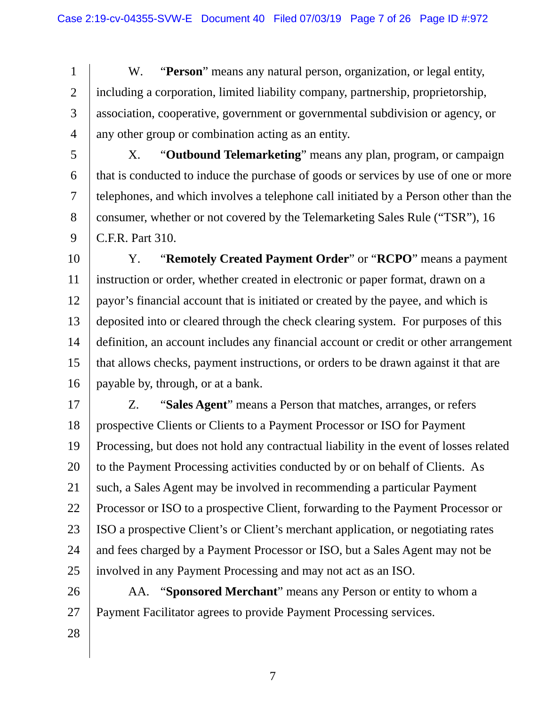1 2 3 4 W. "**Person**" means any natural person, organization, or legal entity, including a corporation, limited liability company, partnership, proprietorship, association, cooperative, government or governmental subdivision or agency, or any other group or combination acting as an entity.

5

6 7 8 9 X. "**Outbound Telemarketing**" means any plan, program, or campaign that is conducted to induce the purchase of goods or services by use of one or more telephones, and which involves a telephone call initiated by a Person other than the consumer, whether or not covered by the Telemarketing Sales Rule ("TSR"), 16 C.F.R. Part 310.

10 11 12 13 14 15 16 Y. "**Remotely Created Payment Order**" or "**RCPO**" means a payment instruction or order, whether created in electronic or paper format, drawn on a payor's financial account that is initiated or created by the payee, and which is deposited into or cleared through the check clearing system. For purposes of this definition, an account includes any financial account or credit or other arrangement that allows checks, payment instructions, or orders to be drawn against it that are payable by, through, or at a bank.

17 18 19 20 21 22 23 24 25 Z. "**Sales Agent**" means a Person that matches, arranges, or refers prospective Clients or Clients to a Payment Processor or ISO for Payment Processing, but does not hold any contractual liability in the event of losses related to the Payment Processing activities conducted by or on behalf of Clients. As such, a Sales Agent may be involved in recommending a particular Payment Processor or ISO to a prospective Client, forwarding to the Payment Processor or ISO a prospective Client's or Client's merchant application, or negotiating rates and fees charged by a Payment Processor or ISO, but a Sales Agent may not be involved in any Payment Processing and may not act as an ISO.

26 27 AA. "**Sponsored Merchant**" means any Person or entity to whom a Payment Facilitator agrees to provide Payment Processing services.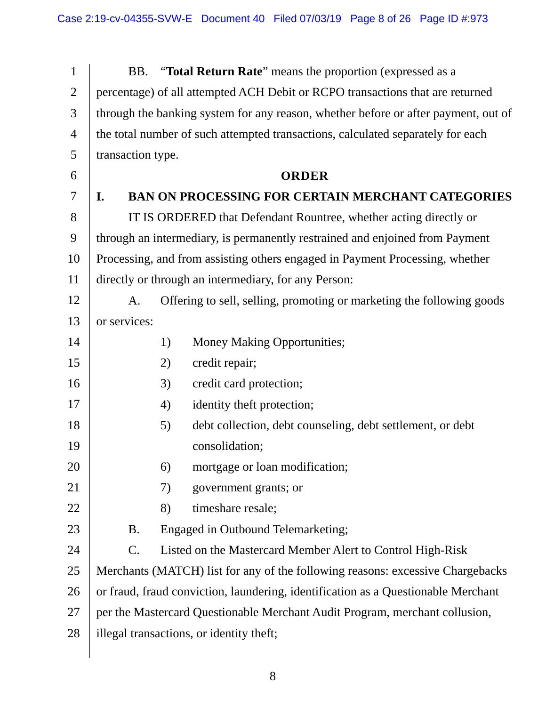| $\mathbf{1}$   | BB.                                                                                | "Total Return Rate" means the proportion (expressed as a                        |  |
|----------------|------------------------------------------------------------------------------------|---------------------------------------------------------------------------------|--|
| $\overline{2}$ | percentage) of all attempted ACH Debit or RCPO transactions that are returned      |                                                                                 |  |
| 3              | through the banking system for any reason, whether before or after payment, out of |                                                                                 |  |
| $\overline{4}$ |                                                                                    | the total number of such attempted transactions, calculated separately for each |  |
| 5              | transaction type.                                                                  |                                                                                 |  |
| 6              | <b>ORDER</b>                                                                       |                                                                                 |  |
| 7              | $\mathbf{I}$ .                                                                     | <b>BAN ON PROCESSING FOR CERTAIN MERCHANT CATEGORIES</b>                        |  |
| 8              | IT IS ORDERED that Defendant Rountree, whether acting directly or                  |                                                                                 |  |
| 9              | through an intermediary, is permanently restrained and enjoined from Payment       |                                                                                 |  |
| 10             | Processing, and from assisting others engaged in Payment Processing, whether       |                                                                                 |  |
| 11             | directly or through an intermediary, for any Person:                               |                                                                                 |  |
| 12             | A.                                                                                 | Offering to sell, selling, promoting or marketing the following goods           |  |
| 13             | or services:                                                                       |                                                                                 |  |
| 14             |                                                                                    | 1)<br>Money Making Opportunities;                                               |  |
| 15             |                                                                                    | credit repair;<br>2)                                                            |  |
| 16             |                                                                                    | credit card protection;<br>3)                                                   |  |
| 17             |                                                                                    | identity theft protection;<br>4)                                                |  |
| 18             |                                                                                    | debt collection, debt counseling, debt settlement, or debt<br>5)                |  |
| 19             |                                                                                    | consolidation;                                                                  |  |
| 20             |                                                                                    | mortgage or loan modification;<br>6)                                            |  |
| 21             |                                                                                    | government grants; or<br>7)                                                     |  |
| 22             |                                                                                    | timeshare resale;<br>8)                                                         |  |
| 23             | <b>B.</b>                                                                          | Engaged in Outbound Telemarketing;                                              |  |
| 24             | $\mathcal{C}$ .                                                                    | Listed on the Mastercard Member Alert to Control High-Risk                      |  |
| 25             | Merchants (MATCH) list for any of the following reasons: excessive Chargebacks     |                                                                                 |  |
| 26             | or fraud, fraud conviction, laundering, identification as a Questionable Merchant  |                                                                                 |  |
| 27             | per the Mastercard Questionable Merchant Audit Program, merchant collusion,        |                                                                                 |  |
| 28             |                                                                                    | illegal transactions, or identity theft;                                        |  |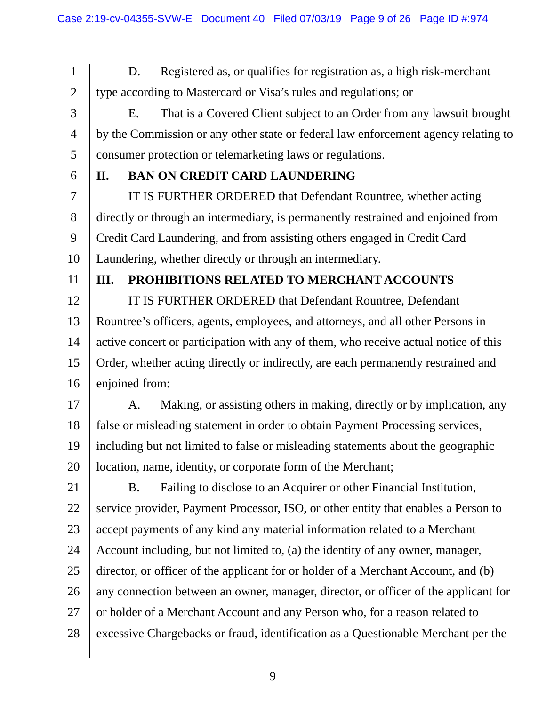1 2 3 4 5 6 7 8 9 10 11 12 13 14 15 16 17 18 19 20 21 22 23 24 25 26 27 28 D. Registered as, or qualifies for registration as, a high risk-merchant type according to Mastercard or Visa's rules and regulations; or E. That is a Covered Client subject to an Order from any lawsuit brought by the Commission or any other state or federal law enforcement agency relating to consumer protection or telemarketing laws or regulations. **II. BAN ON CREDIT CARD LAUNDERING**  IT IS FURTHER ORDERED that Defendant Rountree, whether acting directly or through an intermediary, is permanently restrained and enjoined from Credit Card Laundering, and from assisting others engaged in Credit Card Laundering, whether directly or through an intermediary. **III. PROHIBITIONS RELATED TO MERCHANT ACCOUNTS**  IT IS FURTHER ORDERED that Defendant Rountree, Defendant Rountree's officers, agents, employees, and attorneys, and all other Persons in active concert or participation with any of them, who receive actual notice of this Order, whether acting directly or indirectly, are each permanently restrained and enjoined from: A. Making, or assisting others in making, directly or by implication, any false or misleading statement in order to obtain Payment Processing services, including but not limited to false or misleading statements about the geographic location, name, identity, or corporate form of the Merchant; B. Failing to disclose to an Acquirer or other Financial Institution, service provider, Payment Processor, ISO, or other entity that enables a Person to accept payments of any kind any material information related to a Merchant Account including, but not limited to, (a) the identity of any owner, manager, director, or officer of the applicant for or holder of a Merchant Account, and (b) any connection between an owner, manager, director, or officer of the applicant for or holder of a Merchant Account and any Person who, for a reason related to excessive Chargebacks or fraud, identification as a Questionable Merchant per the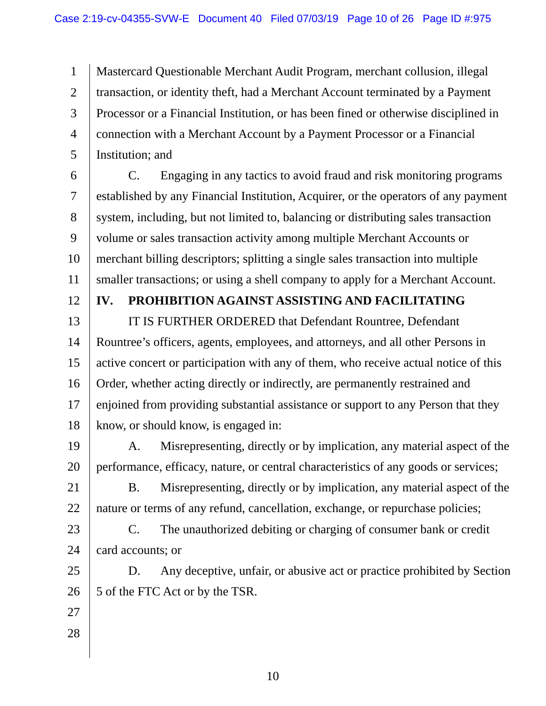1 2 3 4 5 Mastercard Questionable Merchant Audit Program, merchant collusion, illegal transaction, or identity theft, had a Merchant Account terminated by a Payment Processor or a Financial Institution, or has been fined or otherwise disciplined in connection with a Merchant Account by a Payment Processor or a Financial Institution; and

6 7 8 9 10 11 C. Engaging in any tactics to avoid fraud and risk monitoring programs established by any Financial Institution, Acquirer, or the operators of any payment system, including, but not limited to, balancing or distributing sales transaction volume or sales transaction activity among multiple Merchant Accounts or merchant billing descriptors; splitting a single sales transaction into multiple smaller transactions; or using a shell company to apply for a Merchant Account.

12

### **IV. PROHIBITION AGAINST ASSISTING AND FACILITATING**

13 14 15 16 17 18 IT IS FURTHER ORDERED that Defendant Rountree, Defendant Rountree's officers, agents, employees, and attorneys, and all other Persons in active concert or participation with any of them, who receive actual notice of this Order, whether acting directly or indirectly, are permanently restrained and enjoined from providing substantial assistance or support to any Person that they know, or should know, is engaged in:

19 20 A. Misrepresenting, directly or by implication, any material aspect of the performance, efficacy, nature, or central characteristics of any goods or services;

21 22 B. Misrepresenting, directly or by implication, any material aspect of the nature or terms of any refund, cancellation, exchange, or repurchase policies;

23 24 C. The unauthorized debiting or charging of consumer bank or credit card accounts; or

25 26 D. Any deceptive, unfair, or abusive act or practice prohibited by Section 5 of the FTC Act or by the TSR.

- 27
- 28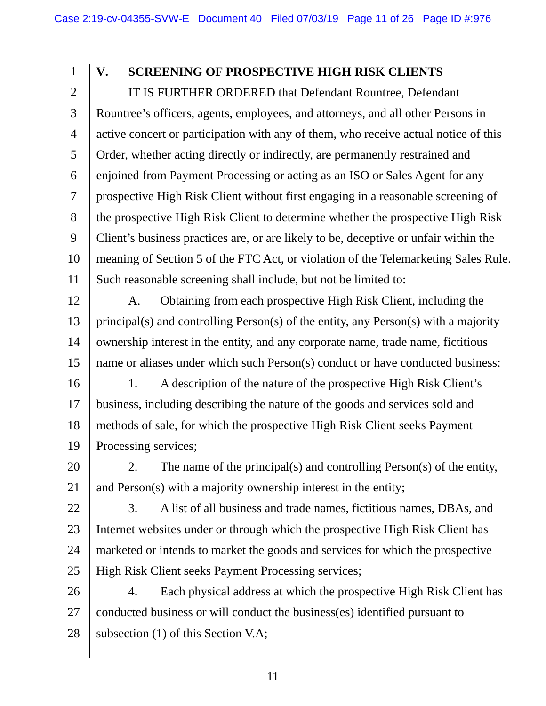### **V. SCREENING OF PROSPECTIVE HIGH RISK CLIENTS**

1

2 3 4 5 6 7 8 9 10 11 IT IS FURTHER ORDERED that Defendant Rountree, Defendant Rountree's officers, agents, employees, and attorneys, and all other Persons in active concert or participation with any of them, who receive actual notice of this Order, whether acting directly or indirectly, are permanently restrained and enjoined from Payment Processing or acting as an ISO or Sales Agent for any prospective High Risk Client without first engaging in a reasonable screening of the prospective High Risk Client to determine whether the prospective High Risk Client's business practices are, or are likely to be, deceptive or unfair within the meaning of Section 5 of the FTC Act, or violation of the Telemarketing Sales Rule. Such reasonable screening shall include, but not be limited to:

12 13 14 15 A. Obtaining from each prospective High Risk Client, including the principal(s) and controlling Person(s) of the entity, any Person(s) with a majority ownership interest in the entity, and any corporate name, trade name, fictitious name or aliases under which such Person(s) conduct or have conducted business:

16 17 18 19 1. A description of the nature of the prospective High Risk Client's business, including describing the nature of the goods and services sold and methods of sale, for which the prospective High Risk Client seeks Payment Processing services;

20 21 2. The name of the principal(s) and controlling Person(s) of the entity, and Person(s) with a majority ownership interest in the entity;

22 23 24 25 3. A list of all business and trade names, fictitious names, DBAs, and Internet websites under or through which the prospective High Risk Client has marketed or intends to market the goods and services for which the prospective High Risk Client seeks Payment Processing services;

26 27 28 4. Each physical address at which the prospective High Risk Client has conducted business or will conduct the business(es) identified pursuant to subsection (1) of this Section V.A;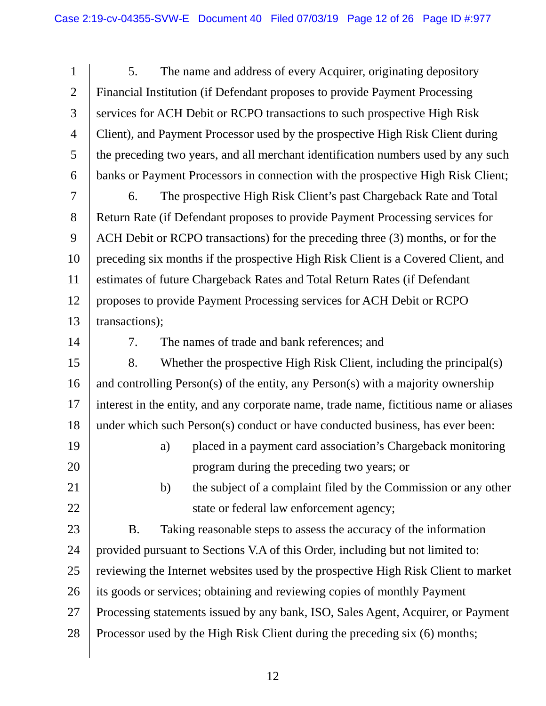1 2 3 4 5 6 7 8 9 10 11 12 13 14 15 16 17 18 19 20 21 22 23 24 25 26 27 28 5. The name and address of every Acquirer, originating depository Financial Institution (if Defendant proposes to provide Payment Processing services for ACH Debit or RCPO transactions to such prospective High Risk Client), and Payment Processor used by the prospective High Risk Client during the preceding two years, and all merchant identification numbers used by any such banks or Payment Processors in connection with the prospective High Risk Client; 6. The prospective High Risk Client's past Chargeback Rate and Total Return Rate (if Defendant proposes to provide Payment Processing services for ACH Debit or RCPO transactions) for the preceding three (3) months, or for the preceding six months if the prospective High Risk Client is a Covered Client, and estimates of future Chargeback Rates and Total Return Rates (if Defendant proposes to provide Payment Processing services for ACH Debit or RCPO transactions); 7. The names of trade and bank references; and 8. Whether the prospective High Risk Client, including the principal(s) and controlling Person(s) of the entity, any Person(s) with a majority ownership interest in the entity, and any corporate name, trade name, fictitious name or aliases under which such Person(s) conduct or have conducted business, has ever been: a) placed in a payment card association's Chargeback monitoring program during the preceding two years; or b) the subject of a complaint filed by the Commission or any other state or federal law enforcement agency; B. Taking reasonable steps to assess the accuracy of the information provided pursuant to Sections V.A of this Order, including but not limited to: reviewing the Internet websites used by the prospective High Risk Client to market its goods or services; obtaining and reviewing copies of monthly Payment Processing statements issued by any bank, ISO, Sales Agent, Acquirer, or Payment Processor used by the High Risk Client during the preceding six (6) months;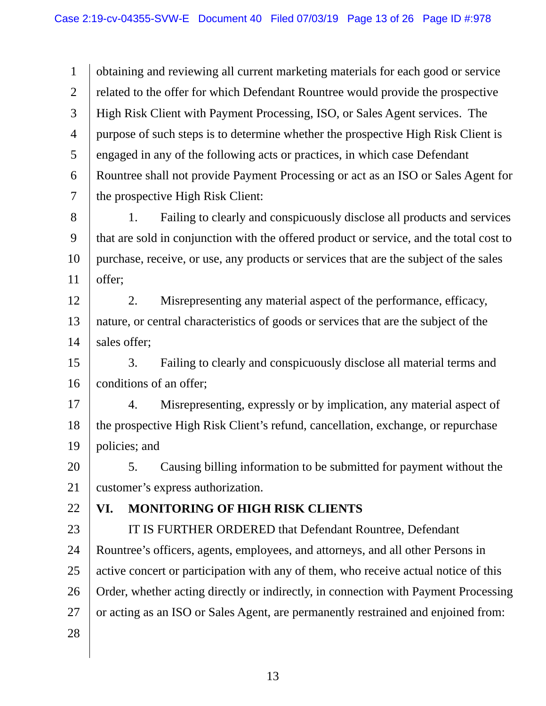1 2 3 4 5 6 7 8 9 10 11 obtaining and reviewing all current marketing materials for each good or service related to the offer for which Defendant Rountree would provide the prospective High Risk Client with Payment Processing, ISO, or Sales Agent services. The purpose of such steps is to determine whether the prospective High Risk Client is engaged in any of the following acts or practices, in which case Defendant Rountree shall not provide Payment Processing or act as an ISO or Sales Agent for the prospective High Risk Client: 1. Failing to clearly and conspicuously disclose all products and services that are sold in conjunction with the offered product or service, and the total cost to purchase, receive, or use, any products or services that are the subject of the sales offer;

12 13 14 2. Misrepresenting any material aspect of the performance, efficacy, nature, or central characteristics of goods or services that are the subject of the sales offer;

15 16 3. Failing to clearly and conspicuously disclose all material terms and conditions of an offer;

17 18 19 4. Misrepresenting, expressly or by implication, any material aspect of the prospective High Risk Client's refund, cancellation, exchange, or repurchase policies; and

20 21 5. Causing billing information to be submitted for payment without the customer's express authorization.

22

# **VI. MONITORING OF HIGH RISK CLIENTS**

23

24 25 26 27 28 IT IS FURTHER ORDERED that Defendant Rountree, Defendant Rountree's officers, agents, employees, and attorneys, and all other Persons in active concert or participation with any of them, who receive actual notice of this Order, whether acting directly or indirectly, in connection with Payment Processing or acting as an ISO or Sales Agent, are permanently restrained and enjoined from: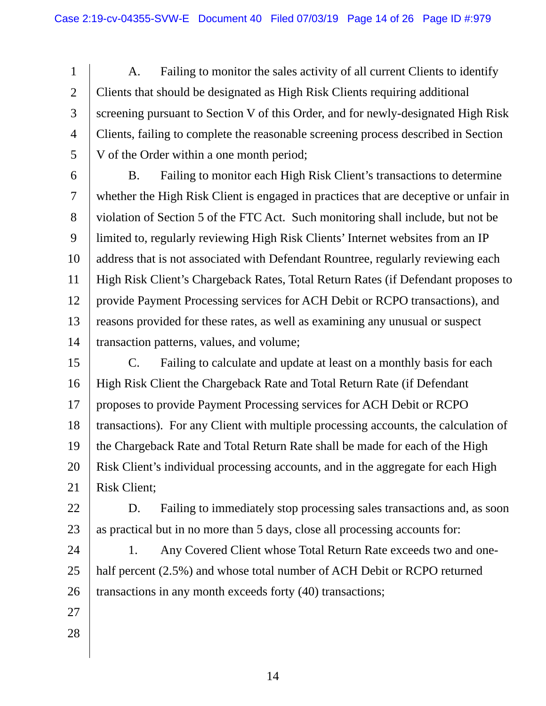1 2 3 4 5 A. Failing to monitor the sales activity of all current Clients to identify Clients that should be designated as High Risk Clients requiring additional screening pursuant to Section V of this Order, and for newly-designated High Risk Clients, failing to complete the reasonable screening process described in Section V of the Order within a one month period;

- 6 7 8 9 10 11 12 13 14 B. Failing to monitor each High Risk Client's transactions to determine whether the High Risk Client is engaged in practices that are deceptive or unfair in violation of Section 5 of the FTC Act. Such monitoring shall include, but not be limited to, regularly reviewing High Risk Clients' Internet websites from an IP address that is not associated with Defendant Rountree, regularly reviewing each High Risk Client's Chargeback Rates, Total Return Rates (if Defendant proposes to provide Payment Processing services for ACH Debit or RCPO transactions), and reasons provided for these rates, as well as examining any unusual or suspect transaction patterns, values, and volume;
- 15 16 17 18 19 20 21 C. Failing to calculate and update at least on a monthly basis for each High Risk Client the Chargeback Rate and Total Return Rate (if Defendant proposes to provide Payment Processing services for ACH Debit or RCPO transactions). For any Client with multiple processing accounts, the calculation of the Chargeback Rate and Total Return Rate shall be made for each of the High Risk Client's individual processing accounts, and in the aggregate for each High Risk Client;
- 22 23 D. Failing to immediately stop processing sales transactions and, as soon as practical but in no more than 5 days, close all processing accounts for:

24 25 26 1. Any Covered Client whose Total Return Rate exceeds two and onehalf percent (2.5%) and whose total number of ACH Debit or RCPO returned transactions in any month exceeds forty (40) transactions;

- 27
- 28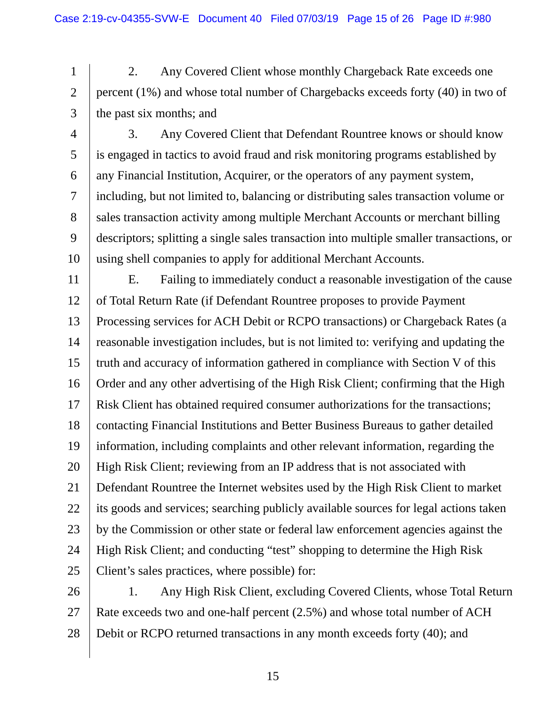1 2 3 2. Any Covered Client whose monthly Chargeback Rate exceeds one percent (1%) and whose total number of Chargebacks exceeds forty (40) in two of the past six months; and

27

4 5 6 7 8 9 10 3. Any Covered Client that Defendant Rountree knows or should know is engaged in tactics to avoid fraud and risk monitoring programs established by any Financial Institution, Acquirer, or the operators of any payment system, including, but not limited to, balancing or distributing sales transaction volume or sales transaction activity among multiple Merchant Accounts or merchant billing descriptors; splitting a single sales transaction into multiple smaller transactions, or using shell companies to apply for additional Merchant Accounts.

11 12 13 14 15 16 17 18 19 20 21 22 23 24 25 26 E. Failing to immediately conduct a reasonable investigation of the cause of Total Return Rate (if Defendant Rountree proposes to provide Payment Processing services for ACH Debit or RCPO transactions) or Chargeback Rates (a reasonable investigation includes, but is not limited to: verifying and updating the truth and accuracy of information gathered in compliance with Section V of this Order and any other advertising of the High Risk Client; confirming that the High Risk Client has obtained required consumer authorizations for the transactions; contacting Financial Institutions and Better Business Bureaus to gather detailed information, including complaints and other relevant information, regarding the High Risk Client; reviewing from an IP address that is not associated with Defendant Rountree the Internet websites used by the High Risk Client to market its goods and services; searching publicly available sources for legal actions taken by the Commission or other state or federal law enforcement agencies against the High Risk Client; and conducting "test" shopping to determine the High Risk Client's sales practices, where possible) for: 1. Any High Risk Client, excluding Covered Clients, whose Total Return

28 Debit or RCPO returned transactions in any month exceeds forty (40); and

Rate exceeds two and one-half percent (2.5%) and whose total number of ACH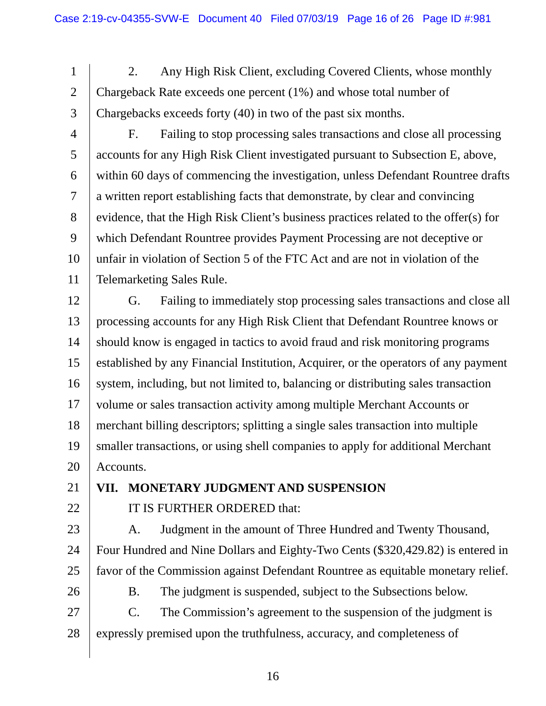1 2 3 2. Any High Risk Client, excluding Covered Clients, whose monthly Chargeback Rate exceeds one percent (1%) and whose total number of Chargebacks exceeds forty (40) in two of the past six months.

4 5 6 7 8 9 10 11 F. Failing to stop processing sales transactions and close all processing accounts for any High Risk Client investigated pursuant to Subsection E, above, within 60 days of commencing the investigation, unless Defendant Rountree drafts a written report establishing facts that demonstrate, by clear and convincing evidence, that the High Risk Client's business practices related to the offer(s) for which Defendant Rountree provides Payment Processing are not deceptive or unfair in violation of Section 5 of the FTC Act and are not in violation of the Telemarketing Sales Rule.

12 13 14 15 16 17 18 19 20 G. Failing to immediately stop processing sales transactions and close all processing accounts for any High Risk Client that Defendant Rountree knows or should know is engaged in tactics to avoid fraud and risk monitoring programs established by any Financial Institution, Acquirer, or the operators of any payment system, including, but not limited to, balancing or distributing sales transaction volume or sales transaction activity among multiple Merchant Accounts or merchant billing descriptors; splitting a single sales transaction into multiple smaller transactions, or using shell companies to apply for additional Merchant Accounts.

- 21
- 22

IT IS FURTHER ORDERED that:

**VII. MONETARY JUDGMENT AND SUSPENSION** 

23

24

A. Judgment in the amount of Three Hundred and Twenty Thousand, Four Hundred and Nine Dollars and Eighty-Two Cents (\$320,429.82) is entered in

25 26

B. The judgment is suspended, subject to the Subsections below.

favor of the Commission against Defendant Rountree as equitable monetary relief.

27 28 C. The Commission's agreement to the suspension of the judgment is expressly premised upon the truthfulness, accuracy, and completeness of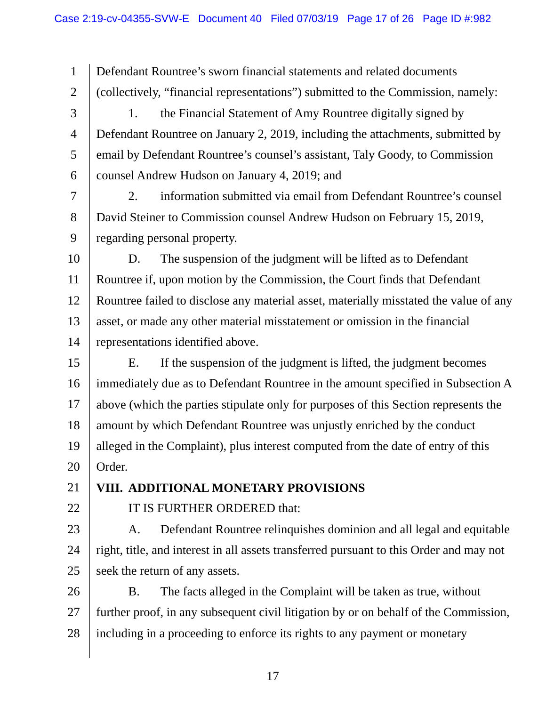1 2 3 4 5 6 7 8 9 10 11 12 13 14 15 16 17 18 19 20 21 22 23 24 25 26 27 Defendant Rountree's sworn financial statements and related documents (collectively, "financial representations") submitted to the Commission, namely: 1. the Financial Statement of Amy Rountree digitally signed by Defendant Rountree on January 2, 2019, including the attachments, submitted by email by Defendant Rountree's counsel's assistant, Taly Goody, to Commission counsel Andrew Hudson on January 4, 2019; and 2. information submitted via email from Defendant Rountree's counsel David Steiner to Commission counsel Andrew Hudson on February 15, 2019, regarding personal property. D. The suspension of the judgment will be lifted as to Defendant Rountree if, upon motion by the Commission, the Court finds that Defendant Rountree failed to disclose any material asset, materially misstated the value of any asset, or made any other material misstatement or omission in the financial representations identified above. E. If the suspension of the judgment is lifted, the judgment becomes immediately due as to Defendant Rountree in the amount specified in Subsection A above (which the parties stipulate only for purposes of this Section represents the amount by which Defendant Rountree was unjustly enriched by the conduct alleged in the Complaint), plus interest computed from the date of entry of this Order. **VIII. ADDITIONAL MONETARY PROVISIONS**  IT IS FURTHER ORDERED that: A. Defendant Rountree relinquishes dominion and all legal and equitable right, title, and interest in all assets transferred pursuant to this Order and may not seek the return of any assets. B. The facts alleged in the Complaint will be taken as true, without further proof, in any subsequent civil litigation by or on behalf of the Commission,

28 including in a proceeding to enforce its rights to any payment or monetary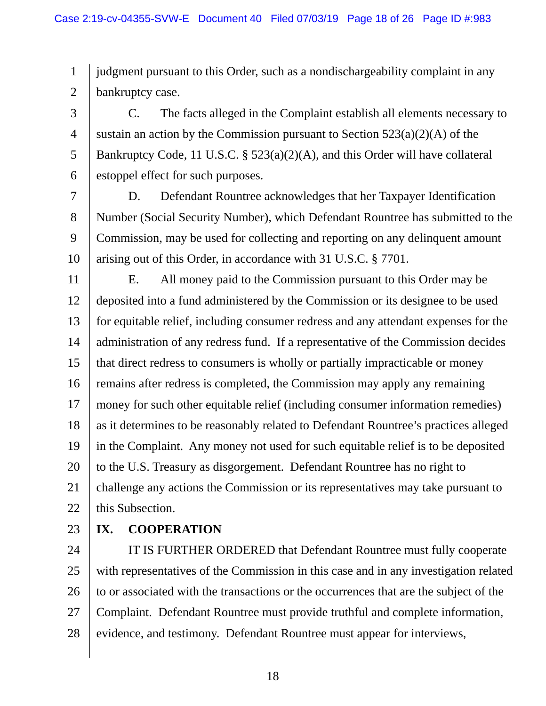1 2 judgment pursuant to this Order, such as a nondischargeability complaint in any bankruptcy case.

3 4 5 6 C. The facts alleged in the Complaint establish all elements necessary to sustain an action by the Commission pursuant to Section  $523(a)(2)(A)$  of the Bankruptcy Code, 11 U.S.C. § 523(a)(2)(A), and this Order will have collateral estoppel effect for such purposes.

7 8 9 10 D. Defendant Rountree acknowledges that her Taxpayer Identification Number (Social Security Number), which Defendant Rountree has submitted to the Commission, may be used for collecting and reporting on any delinquent amount arising out of this Order, in accordance with 31 U.S.C. § 7701.

11 12 13 14 15 16 17 18 19 20 21 22 E. All money paid to the Commission pursuant to this Order may be deposited into a fund administered by the Commission or its designee to be used for equitable relief, including consumer redress and any attendant expenses for the administration of any redress fund. If a representative of the Commission decides that direct redress to consumers is wholly or partially impracticable or money remains after redress is completed, the Commission may apply any remaining money for such other equitable relief (including consumer information remedies) as it determines to be reasonably related to Defendant Rountree's practices alleged in the Complaint. Any money not used for such equitable relief is to be deposited to the U.S. Treasury as disgorgement. Defendant Rountree has no right to challenge any actions the Commission or its representatives may take pursuant to this Subsection.

23

## **IX. COOPERATION**

24 25 26 27 28 IT IS FURTHER ORDERED that Defendant Rountree must fully cooperate with representatives of the Commission in this case and in any investigation related to or associated with the transactions or the occurrences that are the subject of the Complaint. Defendant Rountree must provide truthful and complete information, evidence, and testimony. Defendant Rountree must appear for interviews,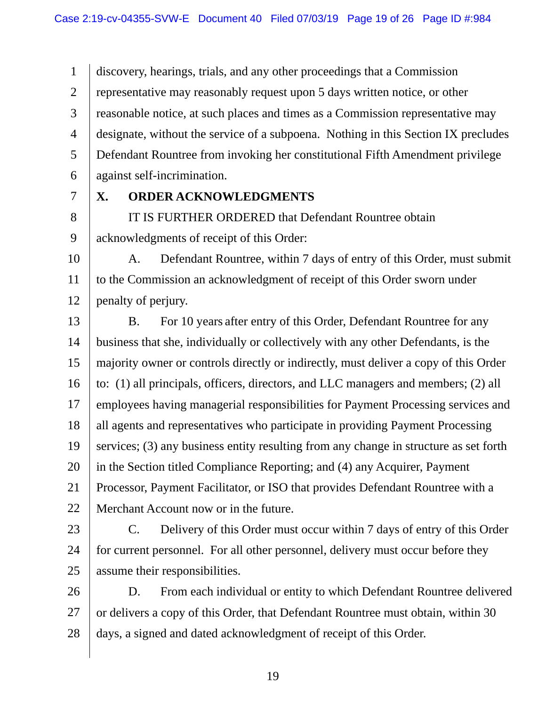1 2 3 4 5 6 discovery, hearings, trials, and any other proceedings that a Commission representative may reasonably request upon 5 days written notice, or other reasonable notice, at such places and times as a Commission representative may designate, without the service of a subpoena. Nothing in this Section IX precludes Defendant Rountree from invoking her constitutional Fifth Amendment privilege against self-incrimination.

7

### **X. ORDER ACKNOWLEDGMENTS**

8 9 IT IS FURTHER ORDERED that Defendant Rountree obtain acknowledgments of receipt of this Order:

- 10 11 12 A. Defendant Rountree, within 7 days of entry of this Order, must submit to the Commission an acknowledgment of receipt of this Order sworn under penalty of perjury.
- 13 14 15 16 17 18 19 20 21 22 B. For 10 years after entry of this Order, Defendant Rountree for any business that she, individually or collectively with any other Defendants, is the majority owner or controls directly or indirectly, must deliver a copy of this Order to: (1) all principals, officers, directors, and LLC managers and members; (2) all employees having managerial responsibilities for Payment Processing services and all agents and representatives who participate in providing Payment Processing services; (3) any business entity resulting from any change in structure as set forth in the Section titled Compliance Reporting; and (4) any Acquirer, Payment Processor, Payment Facilitator, or ISO that provides Defendant Rountree with a Merchant Account now or in the future.
- 23

24 25 C. Delivery of this Order must occur within 7 days of entry of this Order for current personnel. For all other personnel, delivery must occur before they assume their responsibilities.

26 27 28 D. From each individual or entity to which Defendant Rountree delivered or delivers a copy of this Order, that Defendant Rountree must obtain, within 30 days, a signed and dated acknowledgment of receipt of this Order.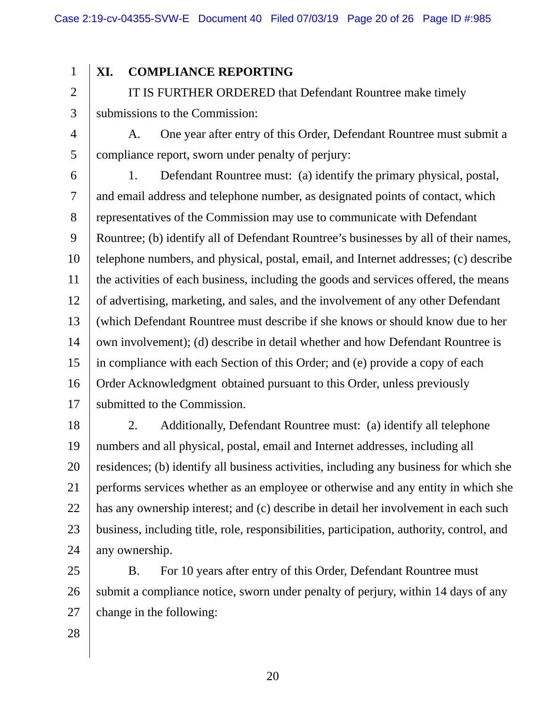#### 1 **XI. COMPLIANCE REPORTING**

2 3 IT IS FURTHER ORDERED that Defendant Rountree make timely submissions to the Commission:

4 5 A. One year after entry of this Order, Defendant Rountree must submit a compliance report, sworn under penalty of perjury:

6 7 8 9 10 11 12 13 14 15 16 17 1. Defendant Rountree must: (a) identify the primary physical, postal, and email address and telephone number, as designated points of contact, which representatives of the Commission may use to communicate with Defendant Rountree; (b) identify all of Defendant Rountree's businesses by all of their names, telephone numbers, and physical, postal, email, and Internet addresses; (c) describe the activities of each business, including the goods and services offered, the means of advertising, marketing, and sales, and the involvement of any other Defendant (which Defendant Rountree must describe if she knows or should know due to her own involvement); (d) describe in detail whether and how Defendant Rountree is in compliance with each Section of this Order; and (e) provide a copy of each Order Acknowledgment obtained pursuant to this Order, unless previously submitted to the Commission.

18 19 20 21 22 23 24 2. Additionally, Defendant Rountree must: (a) identify all telephone numbers and all physical, postal, email and Internet addresses, including all residences; (b) identify all business activities, including any business for which she performs services whether as an employee or otherwise and any entity in which she has any ownership interest; and (c) describe in detail her involvement in each such business, including title, role, responsibilities, participation, authority, control, and any ownership.

25 26 27 B. For 10 years after entry of this Order, Defendant Rountree must submit a compliance notice, sworn under penalty of perjury, within 14 days of any change in the following: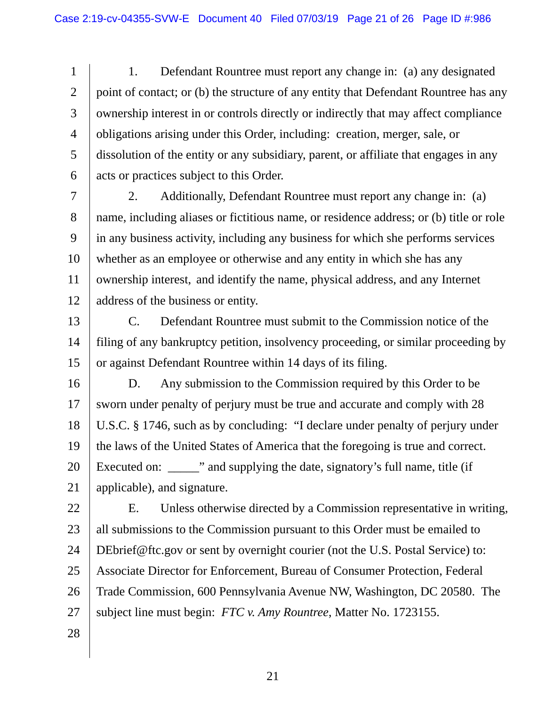1 2 3 4 5 6 1. Defendant Rountree must report any change in: (a) any designated point of contact; or (b) the structure of any entity that Defendant Rountree has any ownership interest in or controls directly or indirectly that may affect compliance obligations arising under this Order, including: creation, merger, sale, or dissolution of the entity or any subsidiary, parent, or affiliate that engages in any acts or practices subject to this Order.

7 8 9 10 11 12 2. Additionally, Defendant Rountree must report any change in: (a) name, including aliases or fictitious name, or residence address; or (b) title or role in any business activity, including any business for which she performs services whether as an employee or otherwise and any entity in which she has any ownership interest, and identify the name, physical address, and any Internet address of the business or entity.

13 14 15 C. Defendant Rountree must submit to the Commission notice of the filing of any bankruptcy petition, insolvency proceeding, or similar proceeding by or against Defendant Rountree within 14 days of its filing.

16 17 18 19 20 21 D. Any submission to the Commission required by this Order to be sworn under penalty of perjury must be true and accurate and comply with 28 U.S.C. § 1746, such as by concluding: "I declare under penalty of perjury under the laws of the United States of America that the foregoing is true and correct. Executed on: we want also supplying the date, signatory's full name, title (if applicable), and signature.

22 23 24 25 26 27 28 E. Unless otherwise directed by a Commission representative in writing, all submissions to the Commission pursuant to this Order must be emailed to DEbrief@ftc.gov or sent by overnight courier (not the U.S. Postal Service) to: Associate Director for Enforcement, Bureau of Consumer Protection, Federal Trade Commission, 600 Pennsylvania Avenue NW, Washington, DC 20580. The subject line must begin: *FTC v. Amy Rountree*, Matter No. 1723155.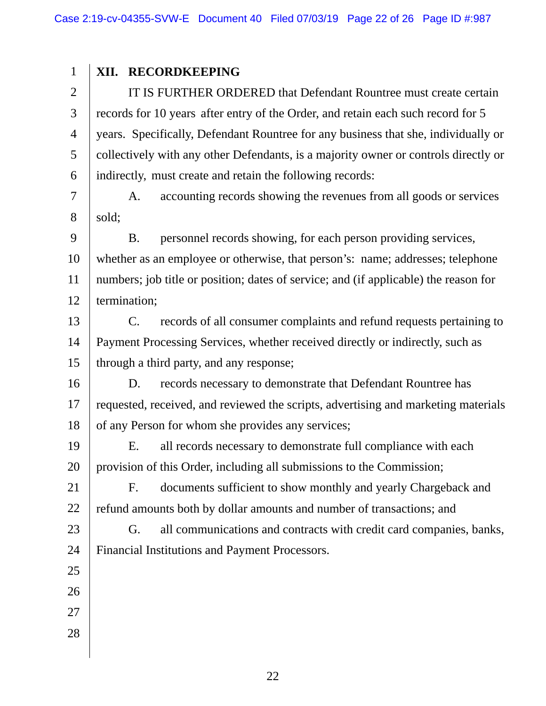#### 1 **XII. RECORDKEEPING**

2 3 4 5 6 IT IS FURTHER ORDERED that Defendant Rountree must create certain records for 10 years after entry of the Order, and retain each such record for 5 years. Specifically, Defendant Rountree for any business that she, individually or collectively with any other Defendants, is a majority owner or controls directly or indirectly, must create and retain the following records:

7 8 A. accounting records showing the revenues from all goods or services sold;

9 10 11 12 B. personnel records showing, for each person providing services, whether as an employee or otherwise, that person's: name; addresses; telephone numbers; job title or position; dates of service; and (if applicable) the reason for termination;

- through a third party, and any response; 13 14 15 C. records of all consumer complaints and refund requests pertaining to Payment Processing Services, whether received directly or indirectly, such as
- 16 17 18 D. records necessary to demonstrate that Defendant Rountree has requested, received, and reviewed the scripts, advertising and marketing materials of any Person for whom she provides any services;
- 19 20 E. all records necessary to demonstrate full compliance with each provision of this Order, including all submissions to the Commission;

21 22 F. documents sufficient to show monthly and yearly Chargeback and refund amounts both by dollar amounts and number of transactions; and

- 23 24 G. all communications and contracts with credit card companies, banks, Financial Institutions and Payment Processors.
- 25
- 26
- 27
- 28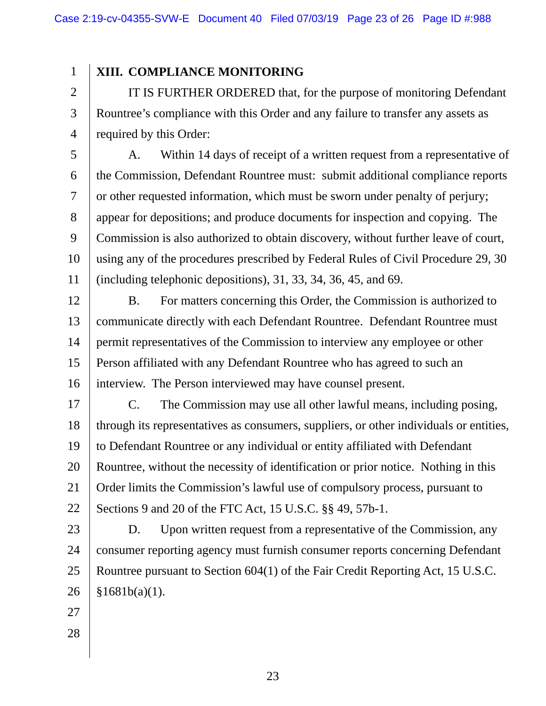#### 1 **XIII. COMPLIANCE MONITORING**

2 3 4 IT IS FURTHER ORDERED that, for the purpose of monitoring Defendant Rountree's compliance with this Order and any failure to transfer any assets as required by this Order:

5 6 7 8 9 10 11 A. Within 14 days of receipt of a written request from a representative of the Commission, Defendant Rountree must: submit additional compliance reports or other requested information, which must be sworn under penalty of perjury; appear for depositions; and produce documents for inspection and copying. The Commission is also authorized to obtain discovery, without further leave of court, using any of the procedures prescribed by Federal Rules of Civil Procedure 29, 30 (including telephonic depositions), 31, 33, 34, 36, 45, and 69.

 interview. The Person interviewed may have counsel present. 12 13 14 15 16 B. For matters concerning this Order, the Commission is authorized to communicate directly with each Defendant Rountree. Defendant Rountree must permit representatives of the Commission to interview any employee or other Person affiliated with any Defendant Rountree who has agreed to such an

17 18 19 20 21 22 C. The Commission may use all other lawful means, including posing, through its representatives as consumers, suppliers, or other individuals or entities, to Defendant Rountree or any individual or entity affiliated with Defendant Rountree, without the necessity of identification or prior notice. Nothing in this Order limits the Commission's lawful use of compulsory process, pursuant to Sections 9 and 20 of the FTC Act, 15 U.S.C. §§ 49, 57b-1.

23 24 25 26 D. Upon written request from a representative of the Commission, any consumer reporting agency must furnish consumer reports concerning Defendant Rountree pursuant to Section 604(1) of the Fair Credit Reporting Act, 15 U.S.C.  $§1681b(a)(1).$ 

- 27
- 28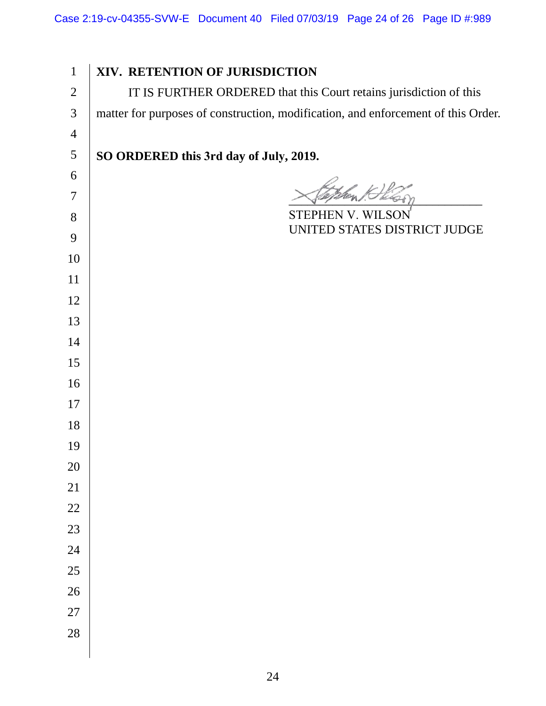**XIV. RETENTION OF JURISDICTION**  IT IS FURTHER ORDERED that this Court retains jurisdiction of this matter for purposes of construction, modification, and enforcement of this Order. **SO ORDERED this 3rd day of July, 2019.**   $\chi_{\text{Peylmen}}$  ,  $\chi_{\text{eq}}$ STEPHEN V. WILSON UNITED STATES DISTRICT JUDGE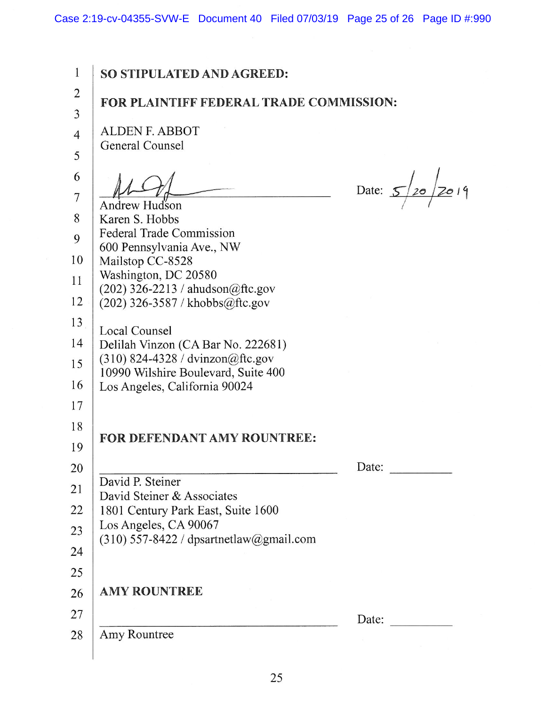Case 2:19-cv-04355-SVW-E Document 40 Filed 07/03/19 Page 25 of 26 Page ID #:990

1 2 3 4 5 6 7 8 9 10 11 12 13 14 15 16 17 18 19 20 21 22 23 24 25 26 27 28 **SO STIPULATED AND AGREED: FOR PLAINTIFF FEDERAL TRADE COMMISSION:**  ALDEN F. ABBOT General Counsel Date:  $5/20/2019$ Andrew Hudson Karen S. Hobbs Federal Trade Commission 600 Pennsylvania Ave., NW Mailstop CC-8528 Washington, DC 20580 (202) 326-2213 / ahudson $@$ ftc.gov (202) 326-3587 I khobbs@ftc.gov Local Counsel Delilah Vinzon (CA Bar No. 222681) (310) 824-4328 / dvinzon@ftc.gov 10990 Wilshire Boulevard, Suite 400 Los Angeles, California 90024 **FOR DEFENDANT AMY ROUNTREE:**  Date: David P. Steiner David Steiner & Associates 1801 Century Park East, Suite 1600 Los Angeles, CA 90067 (310) 557-8422 / dpsartnetlaw@gmail.com **AMY ROUNTREE**  Date: Amy Rountree